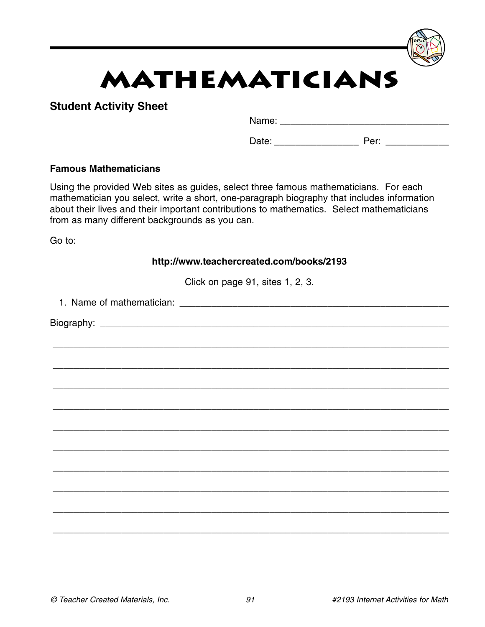# **Mathematicians**

## **Student Activity Sheet**

Name: \_\_\_\_\_\_\_\_\_\_\_\_\_\_\_\_\_\_\_\_\_\_\_\_\_\_\_\_\_\_\_\_

Date: example a periodic periodic periodic periodic system of the system of the system of the system of the system of the system of the system of the system of the system of the system of the system of the system of the sy

### **Famous Mathematicians**

Using the provided Web sites as guides, select three famous mathematicians. For each mathematician you select, write a short, one-paragraph biography that includes information about their lives and their important contributions to mathematics. Select mathematicians from as many different backgrounds as you can.

Go to:

| http://www.teachercreated.com/books/2193 |  |  |  |  |  |
|------------------------------------------|--|--|--|--|--|
| Click on page 91, sites 1, 2, 3.         |  |  |  |  |  |
|                                          |  |  |  |  |  |
|                                          |  |  |  |  |  |
|                                          |  |  |  |  |  |
|                                          |  |  |  |  |  |
|                                          |  |  |  |  |  |
|                                          |  |  |  |  |  |
|                                          |  |  |  |  |  |
|                                          |  |  |  |  |  |
|                                          |  |  |  |  |  |
|                                          |  |  |  |  |  |
|                                          |  |  |  |  |  |
|                                          |  |  |  |  |  |
|                                          |  |  |  |  |  |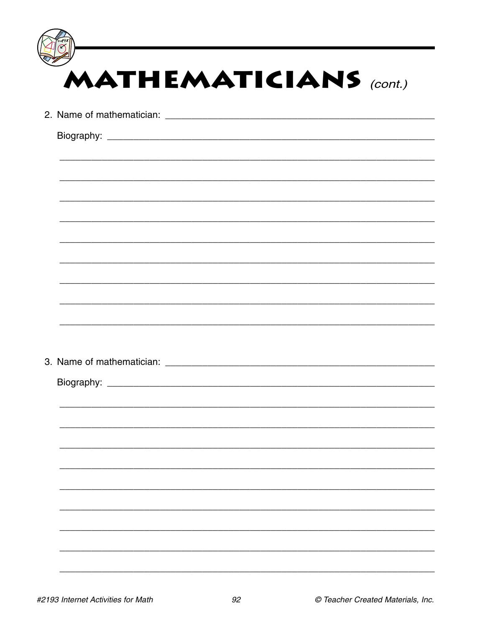| <b>MATHEMATICIANS</b> (cont.)                               |
|-------------------------------------------------------------|
|                                                             |
|                                                             |
|                                                             |
|                                                             |
| <u> 1989 - Johann Stoff, amerikansk politiker (d. 1989)</u> |
|                                                             |
|                                                             |
|                                                             |
|                                                             |
|                                                             |
|                                                             |
|                                                             |
| Biography:                                                  |
|                                                             |
|                                                             |
|                                                             |
|                                                             |
|                                                             |
|                                                             |
|                                                             |
|                                                             |